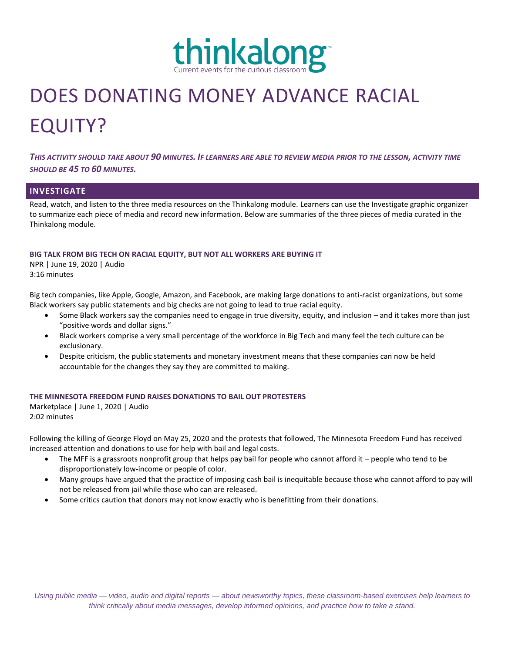

# DOES DONATING MONEY ADVANCE RACIAL EQUITY?

*THIS ACTIVITY SHOULD TAKE ABOUT 90 MINUTES. IF LEARNERS ARE ABLE TO REVIEW MEDIA PRIOR TO THE LESSON, ACTIVITY TIME SHOULD BE 45 TO 60 MINUTES.*

# **INVESTIGATE**

Read, watch, and listen to the three media resources on the Thinkalong module. Learners can use the Investigate graphic organizer to summarize each piece of media and record new information. Below are summaries of the three pieces of media curated in the Thinkalong module.

#### **BIG TALK FROM BIG TECH ON RACIAL EQUITY, BUT NOT ALL WORKERS ARE BUYING IT**

NPR | June 19, 2020 | Audio 3:16 minutes

Big tech companies, like Apple, Google, Amazon, and Facebook, are making large donations to anti-racist organizations, but some Black workers say public statements and big checks are not going to lead to true racial equity.

- Some Black workers say the companies need to engage in true diversity, equity, and inclusion and it takes more than just "positive words and dollar signs."
- Black workers comprise a very small percentage of the workforce in Big Tech and many feel the tech culture can be exclusionary.
- Despite criticism, the public statements and monetary investment means that these companies can now be held accountable for the changes they say they are committed to making.

## **THE MINNESOTA FREEDOM FUND RAISES DONATIONS TO BAIL OUT PROTESTERS**

Marketplace | June 1, 2020 | Audio 2:02 minutes

Following the killing of George Floyd on May 25, 2020 and the protests that followed, The Minnesota Freedom Fund has received increased attention and donations to use for help with bail and legal costs.

- The MFF is a grassroots nonprofit group that helps pay bail for people who cannot afford it people who tend to be disproportionately low-income or people of color.
- Many groups have argued that the practice of imposing cash bail is inequitable because those who cannot afford to pay will not be released from jail while those who can are released.
- Some critics caution that donors may not know exactly who is benefitting from their donations.